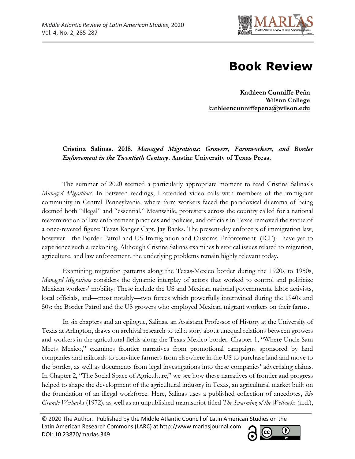

## **Book Review**

**Kathleen Cunniffe Peña Wilson College kathleencunniffepena@wilson.edu**

**Cristina Salinas. 2018.** *Managed Migrations***:** *Growers, Farmworkers, and Border Enforcement in the Twentieth Century***. Austin: University of Texas Press.** 

The summer of 2020 seemed a particularly appropriate moment to read Cristina Salinas's *Managed Migrations.* In between readings, I attended video calls with members of the immigrant community in Central Pennsylvania, where farm workers faced the paradoxical dilemma of being deemed both "illegal" and "essential." Meanwhile, protesters across the country called for a national reexamination of law enforcement practices and policies, and officials in Texas removed the statue of a once-revered figure: Texas Ranger Capt. Jay Banks. The present-day enforcers of immigration law, however—the Border Patrol and US Immigration and Customs Enforcement (ICE)—have yet to experience such a reckoning. Although Cristina Salinas examines historical issues related to migration, agriculture, and law enforcement, the underlying problems remain highly relevant today.

Examining migration patterns along the Texas-Mexico border during the 1920s to 1950s, *Managed Migrations* considers the dynamic interplay of actors that worked to control and politicize Mexican workers' mobility. These include the US and Mexican national governments, labor activists, local officials, and—most notably—two forces which powerfully intertwined during the 1940s and 50s: the Border Patrol and the US growers who employed Mexican migrant workers on their farms.

In six chapters and an epilogue, Salinas, an Assistant Professor of History at the University of Texas at Arlington, draws on archival research to tell a story about unequal relations between growers and workers in the agricultural fields along the Texas-Mexico border. Chapter 1, "Where Uncle Sam Meets Mexico," examines frontier narratives from promotional campaigns sponsored by land companies and railroads to convince farmers from elsewhere in the US to purchase land and move to the border, as well as documents from legal investigations into these companies' advertising claims. In Chapter 2, "The Social Space of Agriculture," we see how these narratives of frontier and progress helped to shape the development of the agricultural industry in Texas, an agricultural market built on the foundation of an illegal workforce. Here, Salinas uses a published collection of anecdotes, *Rio Grande Wetbacks* (1972)*,* as well as an unpublished manuscript titled *The Swarming of the Wetbacks* (n.d.),

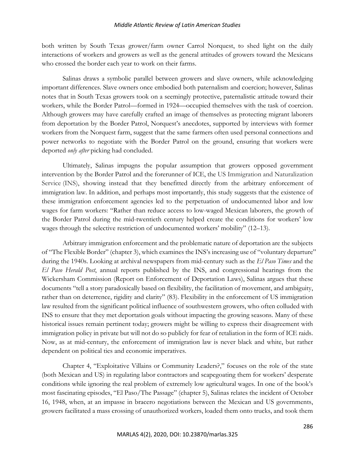## *Middle Atlantic Review of Latin American Studies*

both written by South Texas grower/farm owner Carrol Norquest, to shed light on the daily interactions of workers and growers as well as the general attitudes of growers toward the Mexicans who crossed the border each year to work on their farms.

Salinas draws a symbolic parallel between growers and slave owners, while acknowledging important differences. Slave owners once embodied both paternalism and coercion; however, Salinas notes that in South Texas growers took on a seemingly protective, paternalistic attitude toward their workers, while the Border Patrol—formed in 1924—occupied themselves with the task of coercion. Although growers may have carefully crafted an image of themselves as protecting migrant laborers from deportation by the Border Patrol, Norquest's anecdotes, supported by interviews with former workers from the Norquest farm, suggest that the same farmers often used personal connections and power networks to negotiate with the Border Patrol on the ground, ensuring that workers were deported *only after* picking had concluded.

Ultimately, Salinas impugns the popular assumption that growers opposed government intervention by the Border Patrol and the forerunner of ICE, the US Immigration and Naturalization Service (INS), showing instead that they benefitted directly from the arbitrary enforcement of immigration law. In addition, and perhaps most importantly, this study suggests that the existence of these immigration enforcement agencies led to the perpetuation of undocumented labor and low wages for farm workers: "Rather than reduce access to low-waged Mexican laborers, the growth of the Border Patrol during the mid-twentieth century helped create the conditions for workers' low wages through the selective restriction of undocumented workers' mobility" (12–13).

Arbitrary immigration enforcement and the problematic nature of deportation are the subjects of "The Flexible Border" (chapter 3), which examines the INS's increasing use of "voluntary departure" during the 1940s. Looking at archival newspapers from mid-century such as the *El Paso Times* and the *El Paso Herald Post*, annual reports published by the INS, and congressional hearings from the Wickersham Commission (Report on Enforcement of Deportation Laws), Salinas argues that these documents "tell a story paradoxically based on flexibility, the facilitation of movement, and ambiguity, rather than on deterrence, rigidity and clarity" (83). Flexibility in the enforcement of US immigration law resulted from the significant political influence of southwestern growers, who often colluded with INS to ensure that they met deportation goals without impacting the growing seasons. Many of these historical issues remain pertinent today; growers might be willing to express their disagreement with immigration policy in private but will not do so publicly for fear of retaliation in the form of ICE raids. Now, as at mid-century, the enforcement of immigration law is never black and white, but rather dependent on political ties and economic imperatives.

Chapter 4, "Exploitative Villains or Community Leaders?," focuses on the role of the state (both Mexican and US) in regulating labor contractors and scapegoating them for workers' desperate conditions while ignoring the real problem of extremely low agricultural wages. In one of the book's most fascinating episodes, "El Paso/The Passage" (chapter 5), Salinas relates the incident of October 16, 1948, when, at an impasse in bracero negotiations between the Mexican and US governments, growers facilitated a mass crossing of unauthorized workers, loaded them onto trucks, and took them